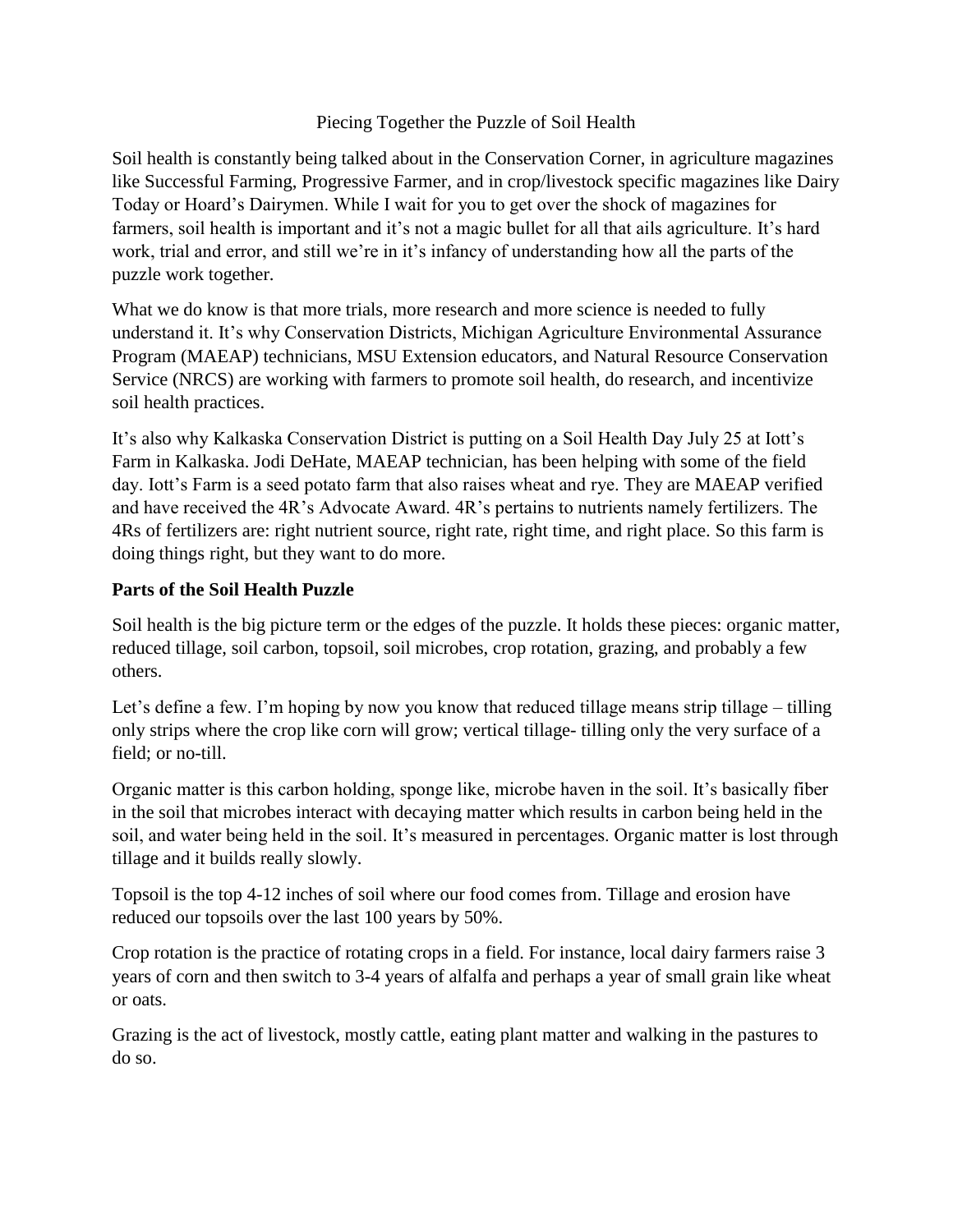### Piecing Together the Puzzle of Soil Health

Soil health is constantly being talked about in the Conservation Corner, in agriculture magazines like Successful Farming, Progressive Farmer, and in crop/livestock specific magazines like Dairy Today or Hoard's Dairymen. While I wait for you to get over the shock of magazines for farmers, soil health is important and it's not a magic bullet for all that ails agriculture. It's hard work, trial and error, and still we're in it's infancy of understanding how all the parts of the puzzle work together.

What we do know is that more trials, more research and more science is needed to fully understand it. It's why Conservation Districts, Michigan Agriculture Environmental Assurance Program (MAEAP) technicians, MSU Extension educators, and Natural Resource Conservation Service (NRCS) are working with farmers to promote soil health, do research, and incentivize soil health practices.

It's also why Kalkaska Conservation District is putting on a Soil Health Day July 25 at Iott's Farm in Kalkaska. Jodi DeHate, MAEAP technician, has been helping with some of the field day. Iott's Farm is a seed potato farm that also raises wheat and rye. They are MAEAP verified and have received the 4R's Advocate Award. 4R's pertains to nutrients namely fertilizers. The 4Rs of fertilizers are: right nutrient source, right rate, right time, and right place. So this farm is doing things right, but they want to do more.

### **Parts of the Soil Health Puzzle**

Soil health is the big picture term or the edges of the puzzle. It holds these pieces: organic matter, reduced tillage, soil carbon, topsoil, soil microbes, crop rotation, grazing, and probably a few others.

Let's define a few. I'm hoping by now you know that reduced tillage means strip tillage – tilling only strips where the crop like corn will grow; vertical tillage- tilling only the very surface of a field; or no-till.

Organic matter is this carbon holding, sponge like, microbe haven in the soil. It's basically fiber in the soil that microbes interact with decaying matter which results in carbon being held in the soil, and water being held in the soil. It's measured in percentages. Organic matter is lost through tillage and it builds really slowly.

Topsoil is the top 4-12 inches of soil where our food comes from. Tillage and erosion have reduced our topsoils over the last 100 years by 50%.

Crop rotation is the practice of rotating crops in a field. For instance, local dairy farmers raise 3 years of corn and then switch to 3-4 years of alfalfa and perhaps a year of small grain like wheat or oats.

Grazing is the act of livestock, mostly cattle, eating plant matter and walking in the pastures to do so.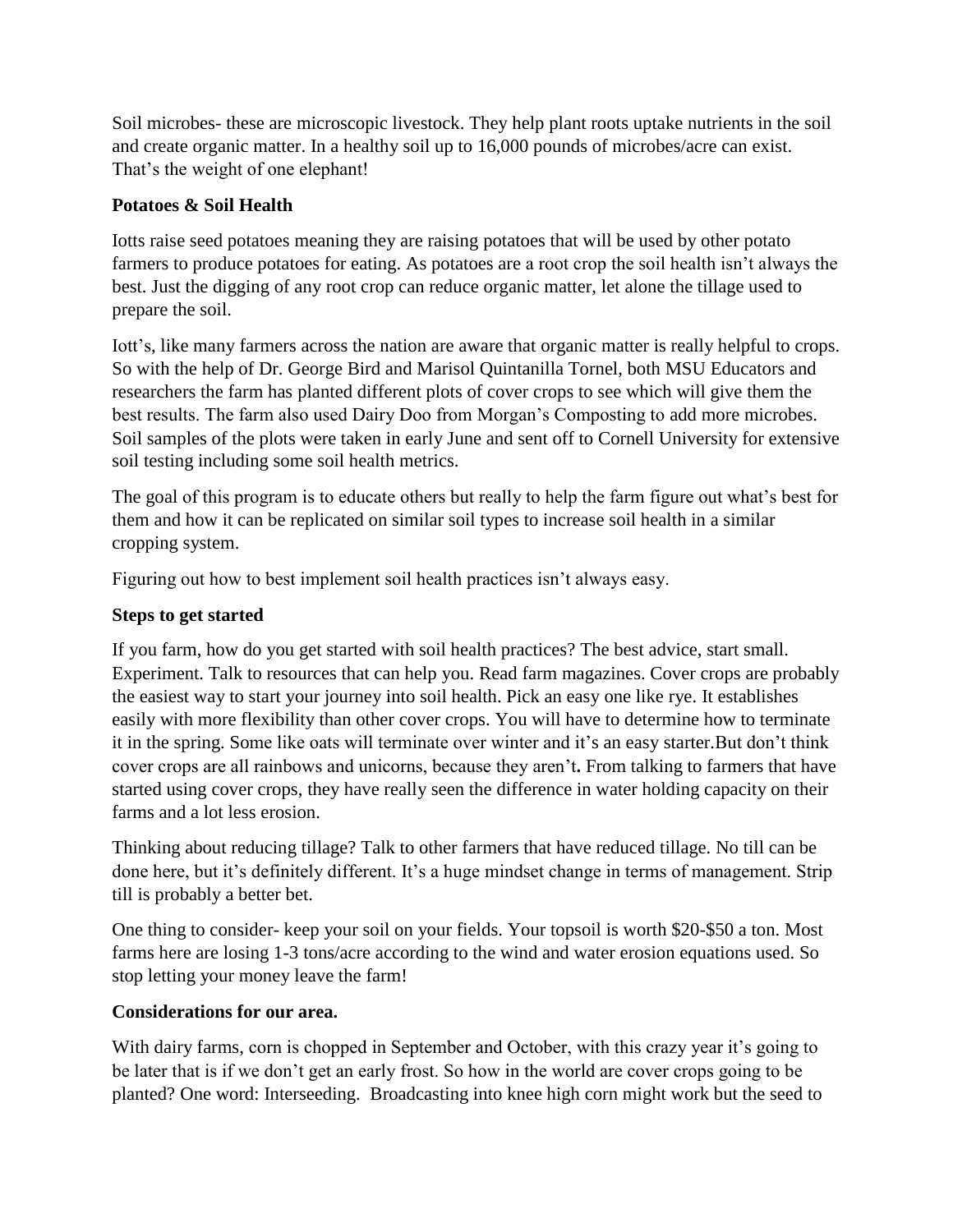Soil microbes- these are microscopic livestock. They help plant roots uptake nutrients in the soil and create organic matter. In a healthy soil up to 16,000 pounds of microbes/acre can exist. That's the weight of one elephant!

## **Potatoes & Soil Health**

Iotts raise seed potatoes meaning they are raising potatoes that will be used by other potato farmers to produce potatoes for eating. As potatoes are a root crop the soil health isn't always the best. Just the digging of any root crop can reduce organic matter, let alone the tillage used to prepare the soil.

Iott's, like many farmers across the nation are aware that organic matter is really helpful to crops. So with the help of Dr. George Bird and Marisol Quintanilla Tornel, both MSU Educators and researchers the farm has planted different plots of cover crops to see which will give them the best results. The farm also used Dairy Doo from Morgan's Composting to add more microbes. Soil samples of the plots were taken in early June and sent off to Cornell University for extensive soil testing including some soil health metrics.

The goal of this program is to educate others but really to help the farm figure out what's best for them and how it can be replicated on similar soil types to increase soil health in a similar cropping system.

Figuring out how to best implement soil health practices isn't always easy.

## **Steps to get started**

If you farm, how do you get started with soil health practices? The best advice, start small. Experiment. Talk to resources that can help you. Read farm magazines. Cover crops are probably the easiest way to start your journey into soil health. Pick an easy one like rye. It establishes easily with more flexibility than other cover crops. You will have to determine how to terminate it in the spring. Some like oats will terminate over winter and it's an easy starter.But don't think cover crops are all rainbows and unicorns, because they aren't**.** From talking to farmers that have started using cover crops, they have really seen the difference in water holding capacity on their farms and a lot less erosion.

Thinking about reducing tillage? Talk to other farmers that have reduced tillage. No till can be done here, but it's definitely different. It's a huge mindset change in terms of management. Strip till is probably a better bet.

One thing to consider- keep your soil on your fields. Your topsoil is worth \$20-\$50 a ton. Most farms here are losing 1-3 tons/acre according to the wind and water erosion equations used. So stop letting your money leave the farm!

### **Considerations for our area.**

With dairy farms, corn is chopped in September and October, with this crazy year it's going to be later that is if we don't get an early frost. So how in the world are cover crops going to be planted? One word: Interseeding. Broadcasting into knee high corn might work but the seed to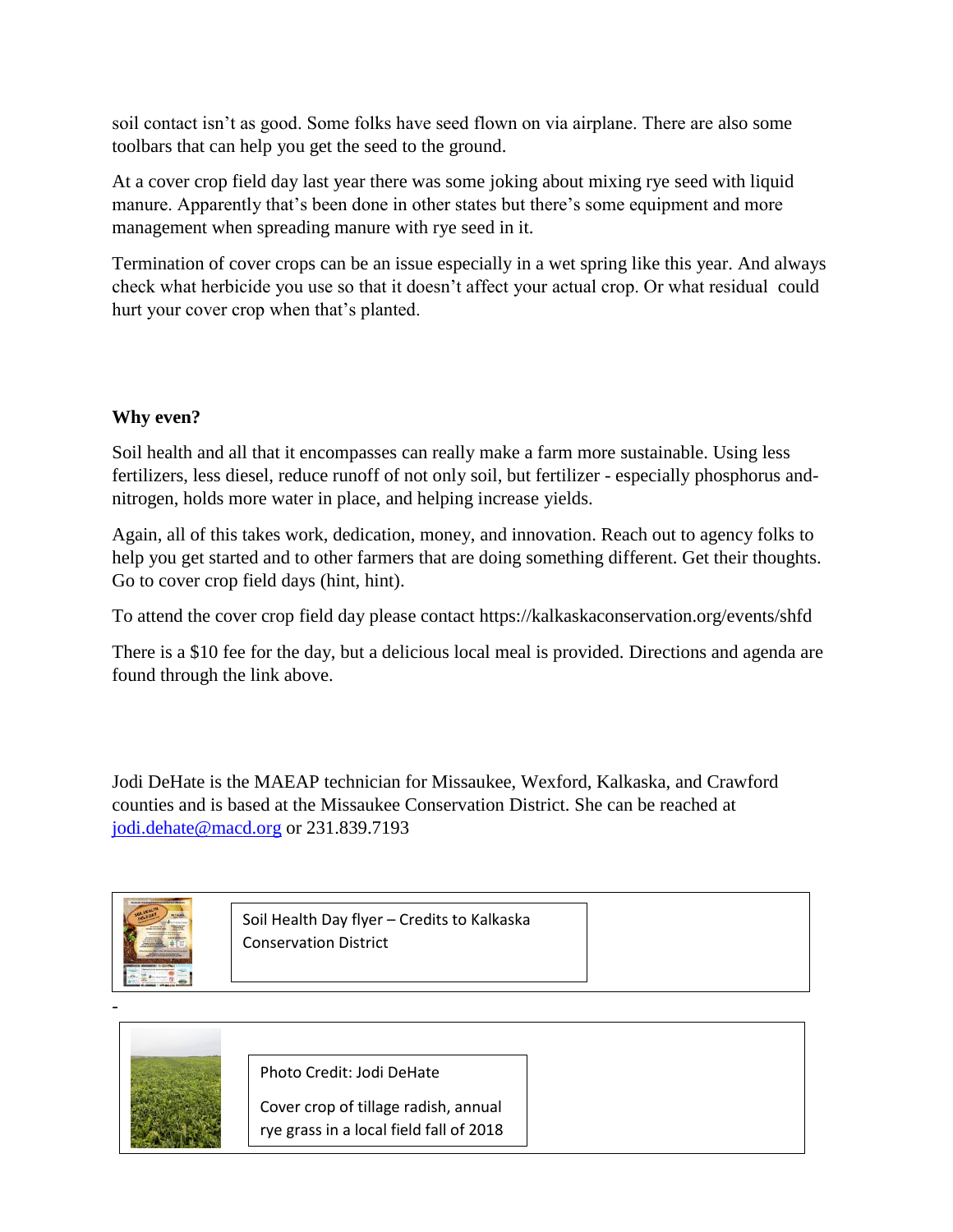soil contact isn't as good. Some folks have seed flown on via airplane. There are also some toolbars that can help you get the seed to the ground.

At a cover crop field day last year there was some joking about mixing rye seed with liquid manure. Apparently that's been done in other states but there's some equipment and more management when spreading manure with rye seed in it.

Termination of cover crops can be an issue especially in a wet spring like this year. And always check what herbicide you use so that it doesn't affect your actual crop. Or what residual could hurt your cover crop when that's planted.

# **Why even?**

Soil health and all that it encompasses can really make a farm more sustainable. Using less fertilizers, less diesel, reduce runoff of not only soil, but fertilizer - especially phosphorus andnitrogen, holds more water in place, and helping increase yields.

Again, all of this takes work, dedication, money, and innovation. Reach out to agency folks to help you get started and to other farmers that are doing something different. Get their thoughts. Go to cover crop field days (hint, hint).

To attend the cover crop field day please contact https://kalkaskaconservation.org/events/shfd

There is a \$10 fee for the day, but a delicious local meal is provided. Directions and agenda are found through the link above.

Jodi DeHate is the MAEAP technician for Missaukee, Wexford, Kalkaska, and Crawford counties and is based at the Missaukee Conservation District. She can be reached at [jodi.dehate@macd.org](mailto:jodi.dehate@macd.org) or 231.839.7193



Soil Health Day flyer – Credits to Kalkaska Conservation District